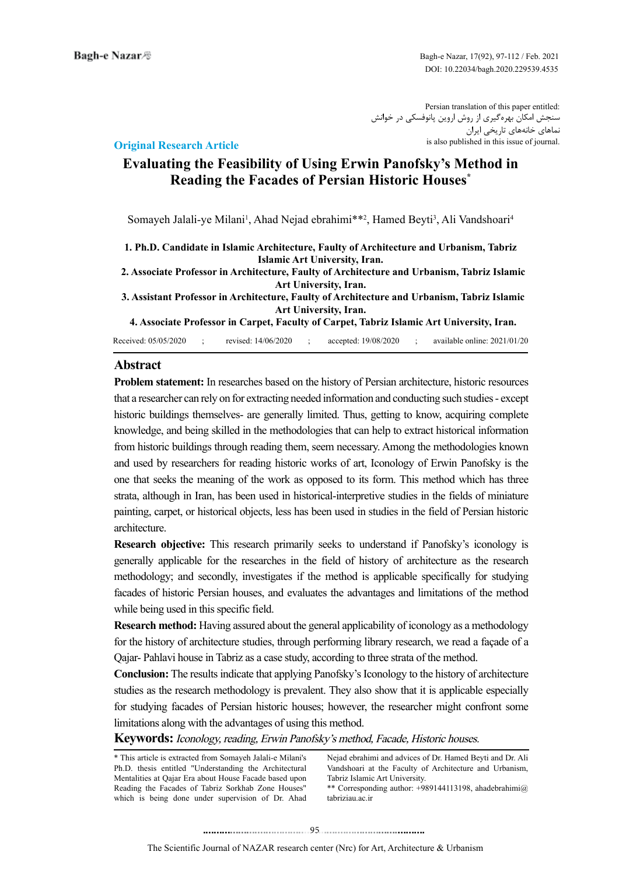Persian translation of this paper entitled: سنجش امکان بهرهگیری از روش اروین پانوفسکی در خوانش نماهای خانههای تاریخی ایران is also published in this issue of journal.

### **Original Research Article**

# **Evaluating the Feasibility of Using Erwin Panofsky's Method in Reading the Facades of Persian Historic Houses\***

Somayeh Jalali-ye Milani<sup>1</sup>, Ahad Nejad ebrahimi\*\*<sup>2</sup>, Hamed Beyti<sup>3</sup>, Ali Vandshoari<sup>4</sup>

- **1. Ph.D. Candidate in Islamic Architecture, Faulty of Architecture and Urbanism, Tabriz Islamic Art University, Iran.**
- **2. Associate Professor in Architecture, Faulty of Architecture and Urbanism, Tabriz Islamic Art University, Iran.**
- **3. Assistant Professor in Architecture, Faulty of Architecture and Urbanism, Tabriz Islamic Art University, Iran.**

 **4. Associate Professor in Carpet, Faculty of Carpet, Tabriz Islamic Art University, Iran.**

Received: 05/05/2020 ; revised: 14/06/2020 ; accepted: 19/08/2020 ; available online: 2021/01/20

### **Abstract**

**Problem statement:** In researches based on the history of Persian architecture, historic resources that a researcher can rely on for extracting needed information and conducting such studies - except historic buildings themselves- are generally limited. Thus, getting to know, acquiring complete knowledge, and being skilled in the methodologies that can help to extract historical information from historic buildings through reading them, seem necessary. Among the methodologies known and used by researchers for reading historic works of art, Iconology of Erwin Panofsky is the one that seeks the meaning of the work as opposed to its form. This method which has three strata, although in Iran, has been used in historical-interpretive studies in the fields of miniature painting, carpet, or historical objects, less has been used in studies in the field of Persian historic architecture.

**Research objective:** This research primarily seeks to understand if Panofsky's iconology is generally applicable for the researches in the field of history of architecture as the research methodology; and secondly, investigates if the method is applicable specifically for studying facades of historic Persian houses, and evaluates the advantages and limitations of the method while being used in this specific field.

**Research method:** Having assured about the general applicability of iconology as a methodology for the history of architecture studies, through performing library research, we read a façade of a Qajar- Pahlavi house in Tabriz as a case study, according to three strata of the method.

**Conclusion:** The results indicate that applying Panofsky's Iconology to the history of architecture studies as the research methodology is prevalent. They also show that it is applicable especially for studying facades of Persian historic houses; however, the researcher might confront some limitations along with the advantages of using this method.

**Keywords:**Iconology, reading, Erwin Panofsky's method, Facade, Historic houses.

\* This article is extracted from Somayeh Jalali-e Milani's Ph.D. thesis entitled "Understanding the Architectural Mentalities at Qajar Era about House Facade based upon Reading the Facades of Tabriz Sorkhab Zone Houses" which is being done under supervision of Dr. Ahad

Nejad ebrahimi and advices of Dr. Hamed Beyti and Dr. Ali Vandshoari at the Faculty of Architecture and Urbanism, Tabriz Islamic Art University.

\*\* Corresponding author: +989144113198, ahadebrahimi@ tabriziau.ac.ir

........................................95. . .. . ........... ........ ....... ..........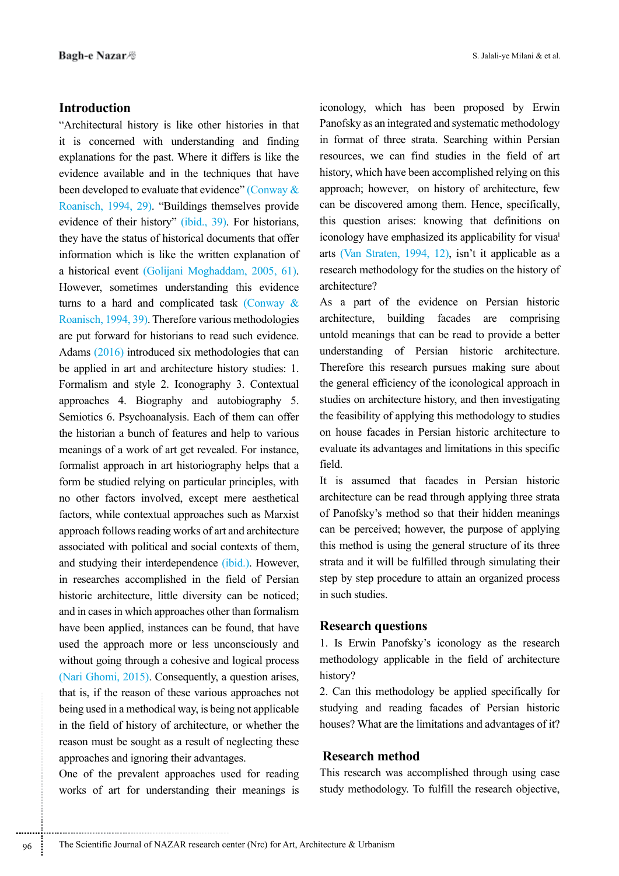### **Introduction**

"Architectural history is like other histories in that it is concerned with understanding and finding explanations for the past. Where it differs is like the evidence available and in the techniques that have been developed to evaluate that evidence" (Conway & Roanisch, 1994, 29). "Buildings themselves provide evidence of their history" (ibid., 39). For historians, they have the status of historical documents that offer information which is like the written explanation of a historical event (Golijani Moghaddam, 2005, 61). However, sometimes understanding this evidence turns to a hard and complicated task (Conway & Roanisch, 1994, 39). Therefore various methodologies are put forward for historians to read such evidence. Adams (2016) introduced six methodologies that can be applied in art and architecture history studies: 1. Formalism and style 2. Iconography 3. Contextual approaches 4. Biography and autobiography 5. Semiotics 6. Psychoanalysis. Each of them can offer the historian a bunch of features and help to various meanings of a work of art get revealed. For instance, formalist approach in art historiography helps that a form be studied relying on particular principles, with no other factors involved, except mere aesthetical factors, while contextual approaches such as Marxist approach follows reading works of art and architecture associated with political and social contexts of them, and studying their interdependence (ibid.). However, in researches accomplished in the field of Persian historic architecture, little diversity can be noticed; and in cases in which approaches other than formalism have been applied, instances can be found, that have used the approach more or less unconsciously and without going through a cohesive and logical process (Nari Ghomi, 2015). Consequently, a question arises, that is, if the reason of these various approaches not being used in a methodical way, is being not applicable in the field of history of architecture, or whether the reason must be sought as a result of neglecting these approaches and ignoring their advantages.

One of the prevalent approaches used for reading works of art for understanding their meanings is

..............................................................................

............................................................

iconology, which has been proposed by Erwin Panofsky as an integrated and systematic methodology in format of three strata. Searching within Persian resources, we can find studies in the field of art history, which have been accomplished relying on this approach; however, on history of architecture, few can be discovered among them. Hence, specifically, this question arises: knowing that definitions on iconology have emphasized its applicability for visual arts (Van Straten, 1994, 12), isn't it applicable as a research methodology for the studies on the history of architecture?

As a part of the evidence on Persian historic architecture, building facades are comprising untold meanings that can be read to provide a better understanding of Persian historic architecture. Therefore this research pursues making sure about the general efficiency of the iconological approach in studies on architecture history, and then investigating the feasibility of applying this methodology to studies on house facades in Persian historic architecture to evaluate its advantages and limitations in this specific field.

It is assumed that facades in Persian historic architecture can be read through applying three strata of Panofsky's method so that their hidden meanings can be perceived; however, the purpose of applying this method is using the general structure of its three strata and it will be fulfilled through simulating their step by step procedure to attain an organized process in such studies.

### **Research questions**

1. Is Erwin Panofsky's iconology as the research methodology applicable in the field of architecture history?

2. Can this methodology be applied specifically for studying and reading facades of Persian historic houses? What are the limitations and advantages of it?

### **Research method**

This research was accomplished through using case study methodology. To fulfill the research objective,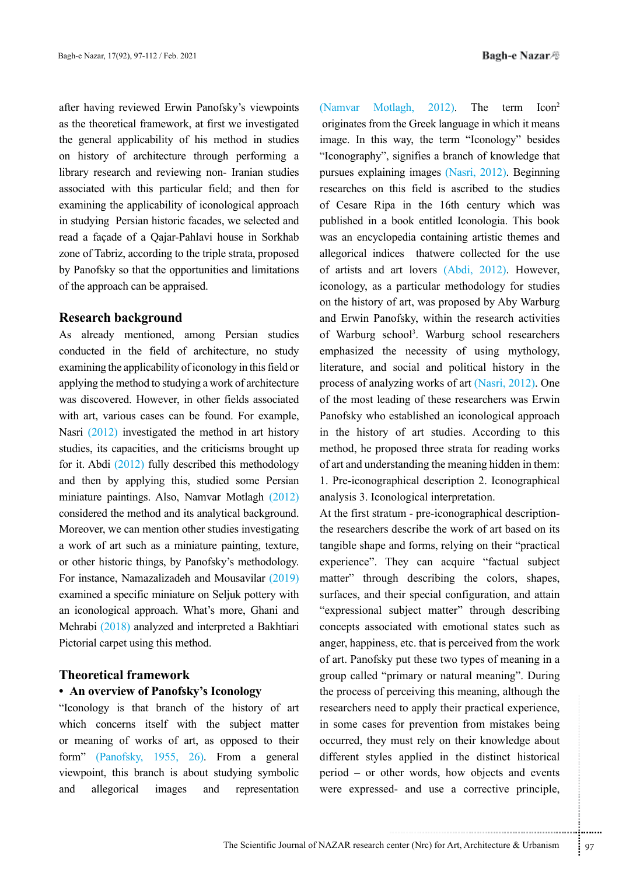after having reviewed Erwin Panofsky's viewpoints as the theoretical framework, at first we investigated the general applicability of his method in studies on history of architecture through performing a library research and reviewing non- Iranian studies associated with this particular field; and then for examining the applicability of iconological approach in studying Persian historic facades, we selected and read a façade of a Qajar-Pahlavi house in Sorkhab zone of Tabriz, according to the triple strata, proposed by Panofsky so that the opportunities and limitations of the approach can be appraised.

#### **Research background**

As already mentioned, among Persian studies conducted in the field of architecture, no study examining the applicability of iconology in this field or applying the method to studying a work of architecture was discovered. However, in other fields associated with art, various cases can be found. For example, Nasri (2012) investigated the method in art history studies, its capacities, and the criticisms brought up for it. Abdi (2012) fully described this methodology and then by applying this, studied some Persian miniature paintings. Also, Namvar Motlagh (2012) considered the method and its analytical background. Moreover, we can mention other studies investigating a work of art such as a miniature painting, texture, or other historic things, by Panofsky's methodology. For instance, Namazalizadeh and Mousavilar (2019) examined a specific miniature on Seljuk pottery with an iconological approach. What's more, Ghani and Mehrabi (2018) analyzed and interpreted a Bakhtiari Pictorial carpet using this method.

#### **Theoretical framework**

### **• An overview of Panofsky's Iconology**

"Iconology is that branch of the history of art which concerns itself with the subject matter or meaning of works of art, as opposed to their form" (Panofsky, 1955, 26). From a general viewpoint, this branch is about studying symbolic and allegorical images and representation

(Namvar Motlagh, 2012). The term Icon2 originates from the Greek language in which it means image. In this way, the term "Iconology" besides "Iconography", signifies a branch of knowledge that pursues explaining images (Nasri, 2012). Beginning researches on this field is ascribed to the studies of Cesare Ripa in the 16th century which was published in a book entitled Iconologia. This book was an encyclopedia containing artistic themes and allegorical indices thatwere collected for the use of artists and art lovers (Abdi, 2012). However, iconology, as a particular methodology for studies on the history of art, was proposed by Aby Warburg and Erwin Panofsky, within the research activities of Warburg school<sup>3</sup>. Warburg school researchers emphasized the necessity of using mythology, literature, and social and political history in the process of analyzing works of art (Nasri, 2012). One of the most leading of these researchers was Erwin Panofsky who established an iconological approach in the history of art studies. According to this method, he proposed three strata for reading works of art and understanding the meaning hidden in them: 1. Pre-iconographical description 2. Iconographical analysis 3. Iconological interpretation.

d to apply their practical experience,<br>for prevention from mistakes being<br>must rely on their knowledge about<br>s applied in the distinct historical<br>her words, how objects and events<br>d- and use a corrective principle,<br>enter ( At the first stratum - pre-iconographical descriptionthe researchers describe the work of art based on its tangible shape and forms, relying on their "practical experience". They can acquire "factual subject matter" through describing the colors, shapes, surfaces, and their special configuration, and attain "expressional subject matter" through describing concepts associated with emotional states such as anger, happiness, etc. that is perceived from the work of art. Panofsky put these two types of meaning in a group called "primary or natural meaning". During the process of perceiving this meaning, although the researchers need to apply their practical experience, in some cases for prevention from mistakes being occurred, they must rely on their knowledge about different styles applied in the distinct historical period – or other words, how objects and events were expressed- and use a corrective principle,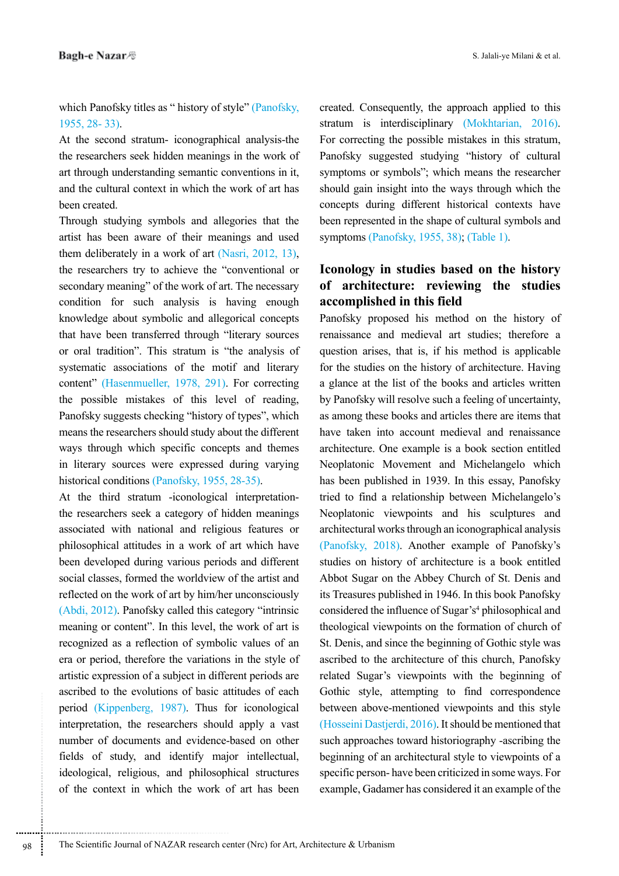which Panofsky titles as " history of style" (Panofsky, 1955, 28- 33).

At the second stratum- iconographical analysis-the the researchers seek hidden meanings in the work of art through understanding semantic conventions in it, and the cultural context in which the work of art has been created.

Through studying symbols and allegories that the artist has been aware of their meanings and used them deliberately in a work of art (Nasri, 2012, 13), the researchers try to achieve the "conventional or secondary meaning" of the work of art. The necessary condition for such analysis is having enough knowledge about symbolic and allegorical concepts that have been transferred through "literary sources or oral tradition". This stratum is "the analysis of systematic associations of the motif and literary content" (Hasenmueller, 1978, 291). For correcting the possible mistakes of this level of reading, Panofsky suggests checking "history of types", which means the researchers should study about the different ways through which specific concepts and themes in literary sources were expressed during varying historical conditions (Panofsky, 1955, 28-35).

At the third stratum -iconological interpretationthe researchers seek a category of hidden meanings associated with national and religious features or philosophical attitudes in a work of art which have been developed during various periods and different social classes, formed the worldview of the artist and reflected on the work of art by him/her unconsciously (Abdi, 2012). Panofsky called this category "intrinsic meaning or content". In this level, the work of art is recognized as a reflection of symbolic values of an era or period, therefore the variations in the style of artistic expression of a subject in different periods are ascribed to the evolutions of basic attitudes of each period (Kippenberg, 1987). Thus for iconological interpretation, the researchers should apply a vast number of documents and evidence-based on other fields of study, and identify major intellectual, ideological, religious, and philosophical structures of the context in which the work of art has been

created. Consequently, the approach applied to this stratum is interdisciplinary (Mokhtarian, 2016). For correcting the possible mistakes in this stratum, Panofsky suggested studying "history of cultural symptoms or symbols"; which means the researcher should gain insight into the ways through which the concepts during different historical contexts have been represented in the shape of cultural symbols and symptoms (Panofsky, 1955, 38); (Table 1).

# **Iconology in studies based on the history of architecture: reviewing the studies accomplished in this field**

Panofsky proposed his method on the history of renaissance and medieval art studies; therefore a question arises, that is, if his method is applicable for the studies on the history of architecture. Having a glance at the list of the books and articles written by Panofsky will resolve such a feeling of uncertainty, as among these books and articles there are items that have taken into account medieval and renaissance architecture. One example is a book section entitled Neoplatonic Movement and Michelangelo which has been published in 1939. In this essay, Panofsky tried to find a relationship between Michelangelo's Neoplatonic viewpoints and his sculptures and architectural works through an iconographical analysis (Panofsky, 2018). Another example of Panofsky's studies on history of architecture is a book entitled Abbot Sugar on the Abbey Church of St. Denis and its Treasures published in 1946. In this book Panofsky considered the influence of Sugar's<sup>4</sup> philosophical and theological viewpoints on the formation of church of St. Denis, and since the beginning of Gothic style was ascribed to the architecture of this church, Panofsky related Sugar's viewpoints with the beginning of Gothic style, attempting to find correspondence between above-mentioned viewpoints and this style (Hosseini Dastjerdi, 2016). It should be mentioned that such approaches toward historiography -ascribing the beginning of an architectural style to viewpoints of a specific person- have been criticized in some ways. For example, Gadamer has considered it an example of the

.............................................................................. 98 The Scientific Journal of NAZAR research center (Nrc) for Art, Architecture & Urbanism

............................................................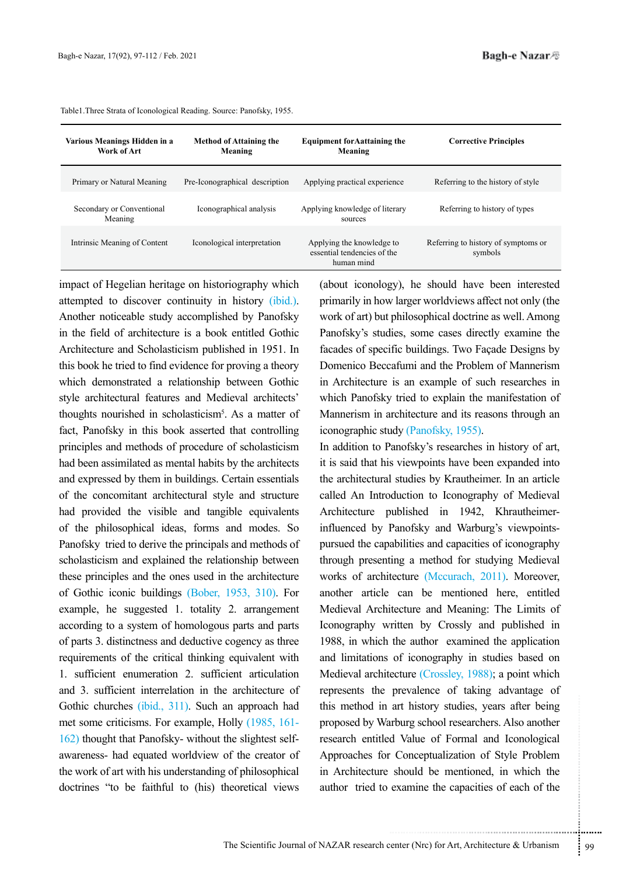| Various Meanings Hidden in a<br>Work of Art | <b>Method of Attaining the</b><br>Meaning | <b>Equipment for Aattaining the</b><br>Meaning                         | <b>Corrective Principles</b>                   |
|---------------------------------------------|-------------------------------------------|------------------------------------------------------------------------|------------------------------------------------|
| Primary or Natural Meaning                  | Pre-Iconographical description            | Applying practical experience                                          | Referring to the history of style              |
| Secondary or Conventional<br>Meaning        | Iconographical analysis                   | Applying knowledge of literary<br>sources                              | Referring to history of types                  |
| Intrinsic Meaning of Content                | Iconological interpretation               | Applying the knowledge to<br>essential tendencies of the<br>human mind | Referring to history of symptoms or<br>symbols |

Table1.Three Strata of Iconological Reading. Source: Panofsky, 1955.

impact of Hegelian heritage on historiography which attempted to discover continuity in history (ibid.). Another noticeable study accomplished by Panofsky in the field of architecture is a book entitled Gothic Architecture and Scholasticism published in 1951. In this book he tried to find evidence for proving a theory which demonstrated a relationship between Gothic style architectural features and Medieval architects' thoughts nourished in scholasticism<sup>5</sup>. As a matter of fact, Panofsky in this book asserted that controlling principles and methods of procedure of scholasticism had been assimilated as mental habits by the architects and expressed by them in buildings. Certain essentials of the concomitant architectural style and structure had provided the visible and tangible equivalents of the philosophical ideas, forms and modes. So Panofsky tried to derive the principals and methods of scholasticism and explained the relationship between these principles and the ones used in the architecture of Gothic iconic buildings (Bober, 1953, 310). For example, he suggested 1. totality 2. arrangement according to a system of homologous parts and parts of parts 3. distinctness and deductive cogency as three requirements of the critical thinking equivalent with 1. sufficient enumeration 2. sufficient articulation and 3. sufficient interrelation in the architecture of Gothic churches (ibid., 311). Such an approach had met some criticisms. For example, Holly (1985, 161- 162) thought that Panofsky- without the slightest selfawareness- had equated worldview of the creator of the work of art with his understanding of philosophical doctrines "to be faithful to (his) theoretical views

(about iconology), he should have been interested primarily in how larger worldviews affect not only (the work of art) but philosophical doctrine as well. Among Panofsky's studies, some cases directly examine the facades of specific buildings. Two Façade Designs by Domenico Beccafumi and the Problem of Mannerism in Architecture is an example of such researches in which Panofsky tried to explain the manifestation of Mannerism in architecture and its reasons through an iconographic study (Panofsky, 1955).

art history studies, years after being<br>the urburg school researchers. Also another<br>d Value of Formal and Iconological<br>Conceptualization of Style Problem<br>should be mentioned, in which the<br>examine the capacities of each of t In addition to Panofsky's researches in history of art, it is said that his viewpoints have been expanded into the architectural studies by Krautheimer. In an article called An Introduction to Iconography of Medieval Architecture published in 1942, Khrautheimerinfluenced by Panofsky and Warburg's viewpointspursued the capabilities and capacities of iconography through presenting a method for studying Medieval works of architecture (Mccurach, 2011). Moreover, another article can be mentioned here, entitled Medieval Architecture and Meaning: The Limits of Iconography written by Crossly and published in 1988, in which the author examined the application and limitations of iconography in studies based on Medieval architecture (Crossley, 1988); a point which represents the prevalence of taking advantage of this method in art history studies, years after being proposed by Warburg school researchers. Also another research entitled Value of Formal and Iconological Approaches for Conceptualization of Style Problem in Architecture should be mentioned, in which the author tried to examine the capacities of each of the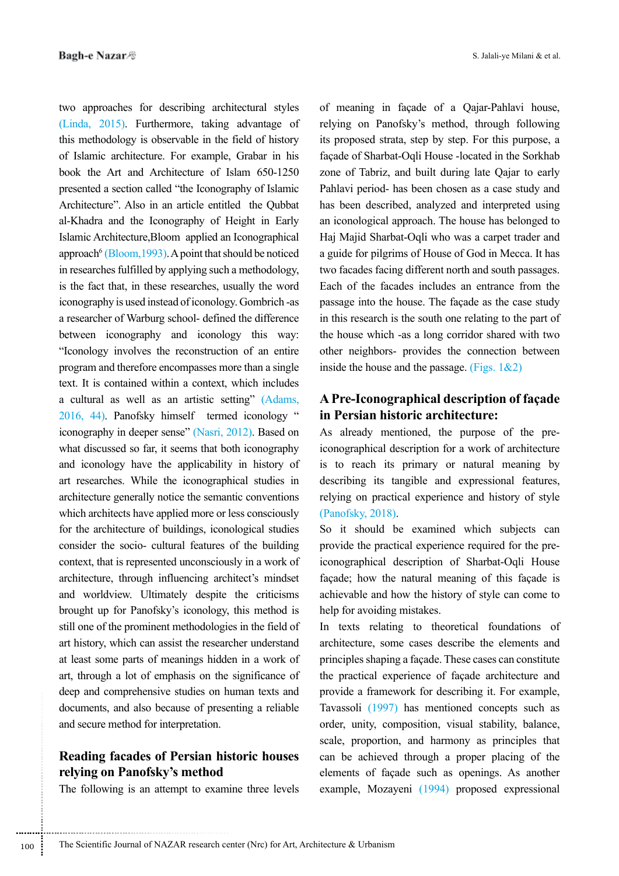two approaches for describing architectural styles (Linda, 2015). Furthermore, taking advantage of this methodology is observable in the field of history of Islamic architecture. For example, Grabar in his book the Art and Architecture of Islam 650-1250 presented a section called "the Iconography of Islamic Architecture". Also in an article entitled the Qubbat al-Khadra and the Iconography of Height in Early Islamic Architecture,Bloom applied an Iconographical approach<sup>6</sup> (Bloom, 1993). A point that should be noticed in researches fulfilled by applying such a methodology, is the fact that, in these researches, usually the word iconography is used instead of iconology. Gombrich -as a researcher of Warburg school- defined the difference between iconography and iconology this way: "Iconology involves the reconstruction of an entire program and therefore encompasses more than a single text. It is contained within a context, which includes a cultural as well as an artistic setting" (Adams, 2016, 44). Panofsky himself termed iconology " iconography in deeper sense" (Nasri, 2012). Based on what discussed so far, it seems that both iconography and iconology have the applicability in history of art researches. While the iconographical studies in architecture generally notice the semantic conventions which architects have applied more or less consciously for the architecture of buildings, iconological studies consider the socio- cultural features of the building context, that is represented unconsciously in a work of architecture, through influencing architect's mindset and worldview. Ultimately despite the criticisms brought up for Panofsky's iconology, this method is still one of the prominent methodologies in the field of art history, which can assist the researcher understand at least some parts of meanings hidden in a work of art, through a lot of emphasis on the significance of deep and comprehensive studies on human texts and documents, and also because of presenting a reliable and secure method for interpretation.

# **Reading facades of Persian historic houses relying on Panofsky's method**

The following is an attempt to examine three levels

of meaning in façade of a Qajar-Pahlavi house, relying on Panofsky's method, through following its proposed strata, step by step. For this purpose, a façade of Sharbat-Oqli House -located in the Sorkhab zone of Tabriz, and built during late Qajar to early Pahlavi period- has been chosen as a case study and has been described, analyzed and interpreted using an iconological approach. The house has belonged to Haj Majid Sharbat-Oqli who was a carpet trader and a guide for pilgrims of House of God in Mecca. It has two facades facing different north and south passages. Each of the facades includes an entrance from the passage into the house. The façade as the case study in this research is the south one relating to the part of the house which -as a long corridor shared with two other neighbors- provides the connection between inside the house and the passage. (Figs.  $1&&2$ )

# **A Pre-Iconographical description of façade in Persian historic architecture:**

As already mentioned, the purpose of the preiconographical description for a work of architecture is to reach its primary or natural meaning by describing its tangible and expressional features, relying on practical experience and history of style (Panofsky, 2018).

So it should be examined which subjects can provide the practical experience required for the preiconographical description of Sharbat-Oqli House façade; how the natural meaning of this façade is achievable and how the history of style can come to help for avoiding mistakes.

In texts relating to theoretical foundations of architecture, some cases describe the elements and principles shaping a façade. These cases can constitute the practical experience of façade architecture and provide a framework for describing it. For example, Tavassoli (1997) has mentioned concepts such as order, unity, composition, visual stability, balance, scale, proportion, and harmony as principles that can be achieved through a proper placing of the elements of façade such as openings. As another example, Mozayeni (1994) proposed expressional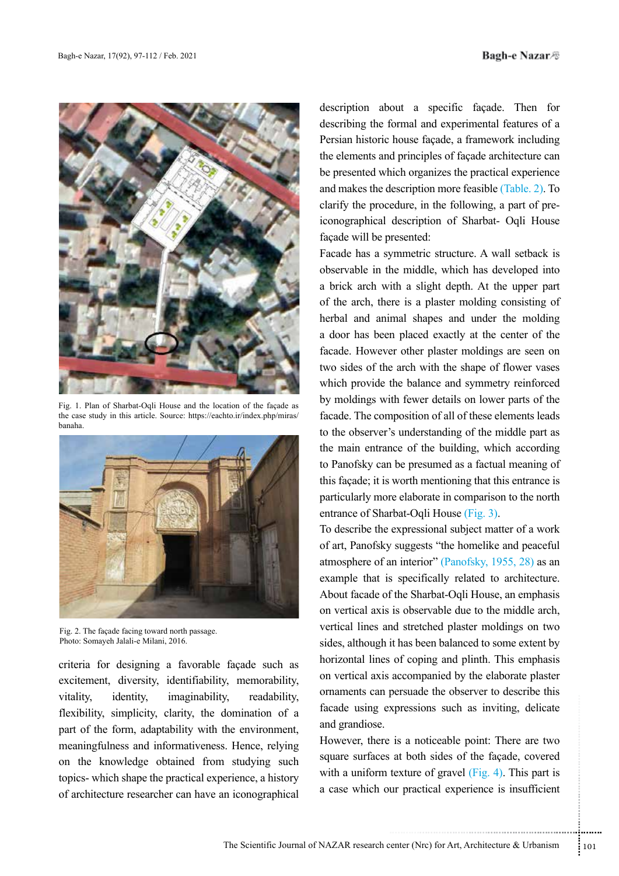

Fig. 1. Plan of Sharbat-Oqli House and the location of the façade as the case study in this article. Source: https://eachto.ir/index.php/miras/ banaha.



Fig. 2. The façade facing toward north passage. Photo: Somayeh Jalali-e Milani, 2016.

criteria for designing a favorable façade such as excitement, diversity, identifiability, memorability, vitality, identity, imaginability, readability, flexibility, simplicity, clarity, the domination of a part of the form, adaptability with the environment, meaningfulness and informativeness. Hence, relying on the knowledge obtained from studying such topics- which shape the practical experience, a history of architecture researcher can have an iconographical description about a specific façade. Then for describing the formal and experimental features of a Persian historic house façade, a framework including the elements and principles of façade architecture can be presented which organizes the practical experience and makes the description more feasible (Table. 2). To clarify the procedure, in the following, a part of preiconographical description of Sharbat- Oqli House façade will be presented:

Facade has a symmetric structure. A wall setback is observable in the middle, which has developed into a brick arch with a slight depth. At the upper part of the arch, there is a plaster molding consisting of herbal and animal shapes and under the molding a door has been placed exactly at the center of the facade. However other plaster moldings are seen on two sides of the arch with the shape of flower vases which provide the balance and symmetry reinforced by moldings with fewer details on lower parts of the facade. The composition of all of these elements leads to the observer's understanding of the middle part as the main entrance of the building, which according to Panofsky can be presumed as a factual meaning of this façade; it is worth mentioning that this entrance is particularly more elaborate in comparison to the north entrance of Sharbat-Oqli House (Fig. 3).

To describe the expressional subject matter of a work of art, Panofsky suggests "the homelike and peaceful atmosphere of an interior" (Panofsky, 1955, 28) as an example that is specifically related to architecture. About facade of the Sharbat-Oqli House, an emphasis on vertical axis is observable due to the middle arch, vertical lines and stretched plaster moldings on two sides, although it has been balanced to some extent by horizontal lines of coping and plinth. This emphasis on vertical axis accompanied by the elaborate plaster ornaments can persuade the observer to describe this facade using expressions such as inviting, delicate and grandiose.

xpressions such as inviting, delicate<br>
is a noticeable point: There are two<br>
at both sides of the façade, covered<br>
texture of gravel (Fig. 4). This part is<br>
ur practical experience is insufficient<br>
under the summary of the However, there is a noticeable point: There are two square surfaces at both sides of the façade, covered with a uniform texture of gravel  $(Fig. 4)$ . This part is a case which our practical experience is insufficient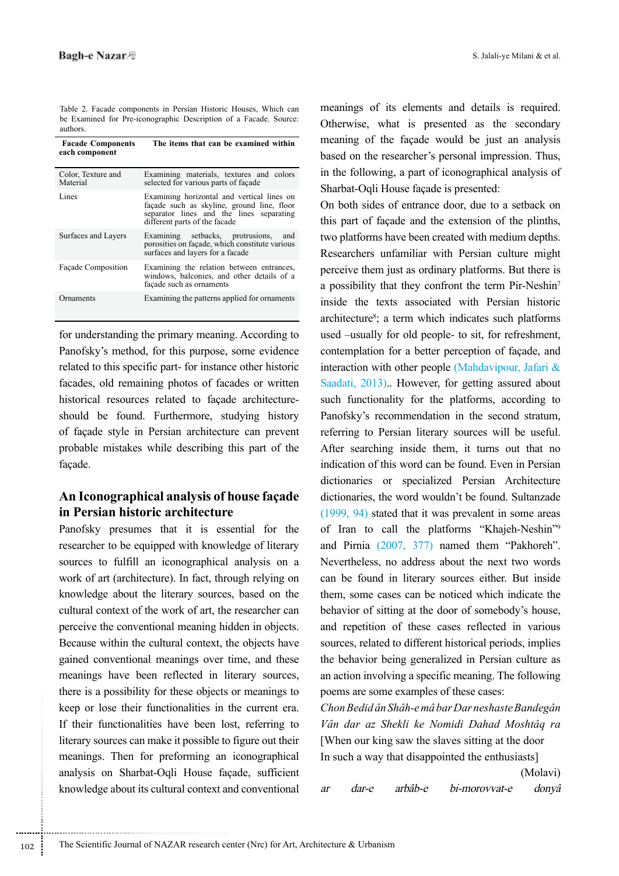Table 2. Facade components in Persian Historic Houses, Which can be Examined for Pre-iconographic Description of a Facade. Source: authors.

| <b>Facade Components</b><br>each component | The items that can be examined within                                                                                                                                 |
|--------------------------------------------|-----------------------------------------------------------------------------------------------------------------------------------------------------------------------|
| Color, Texture and<br>Material             | Examining materials, textures and colors<br>selected for various parts of façade                                                                                      |
| Lines                                      | Examining horizontal and vertical lines on<br>façade such as skyline, ground line, floor<br>separator lines and the lines separating<br>different parts of the facade |
| Surfaces and Layers                        | Examining setbacks, protrusions,<br>and<br>porosities on facade, which constitute various<br>surfaces and layers for a facade                                         |
| Façade Composition                         | Examining the relation between entrances,<br>windows, balconies, and other details of a<br>façade such as ornaments                                                   |
| Ornaments                                  | Examining the patterns applied for ornaments                                                                                                                          |

for understanding the primary meaning. According to Panofsky's method, for this purpose, some evidence related to this specific part- for instance other historic facades, old remaining photos of facades or written historical resources related to façade architectureshould be found. Furthermore, studying history of façade style in Persian architecture can prevent probable mistakes while describing this part of the façade.

## **An Iconographical analysis of house façade in Persian historic architecture**

Panofsky presumes that it is essential for the researcher to be equipped with knowledge of literary sources to fulfill an iconographical analysis on a work of art (architecture). In fact, through relying on knowledge about the literary sources, based on the cultural context of the work of art, the researcher can perceive the conventional meaning hidden in objects. Because within the cultural context, the objects have gained conventional meanings over time, and these meanings have been reflected in literary sources, there is a possibility for these objects or meanings to keep or lose their functionalities in the current era. If their functionalities have been lost, referring to literary sources can make it possible to figure out their meanings. Then for preforming an iconographical analysis on Sharbat-Oqli House façade, sufficient knowledge about its cultural context and conventional

meanings of its elements and details is required. Otherwise, what is presented as the secondary meaning of the façade would be just an analysis based on the researcher's personal impression. Thus, in the following, a part of iconographical analysis of Sharbat-Oqli House façade is presented:

On both sides of entrance door, due to a setback on this part of façade and the extension of the plinths, two platforms have been created with medium depths. Researchers unfamiliar with Persian culture might perceive them just as ordinary platforms. But there is a possibility that they confront the term Pir-Neshin7 inside the texts associated with Persian historic architecture<sup>8</sup>; a term which indicates such platforms used –usually for old people- to sit, for refreshment, contemplation for a better perception of façade, and interaction with other people (Mahdavipour, Jafari & Saadati, 2013).. However, for getting assured about such functionality for the platforms, according to Panofsky's recommendation in the second stratum, referring to Persian literary sources will be useful. After searching inside them, it turns out that no indication of this word can be found. Even in Persian dictionaries or specialized Persian Architecture dictionaries, the word wouldn't be found. Sultanzade (1999, 94) stated that it was prevalent in some areas of Iran to call the platforms "Khajeh-Neshin"9 and Pirnia (2007, 377) named them "Pakhoreh". Nevertheless, no address about the next two words can be found in literary sources either. But inside them, some cases can be noticed which indicate the behavior of sitting at the door of somebody's house, and repetition of these cases reflected in various sources, related to different historical periods, implies the behavior being generalized in Persian culture as an action involving a specific meaning. The following poems are some examples of these cases:

*Chon Bedid ân Shâh-e mâ bar Dar neshaste Bandegân Vân dar az Shekli ke Nomidi Dahad Moshtâq ra*  [When our king saw the slaves sitting at the door In such a way that disappointed the enthusiasts]

(Molavi) ar dar-e arbâb-e bi-morovvat-e donyâ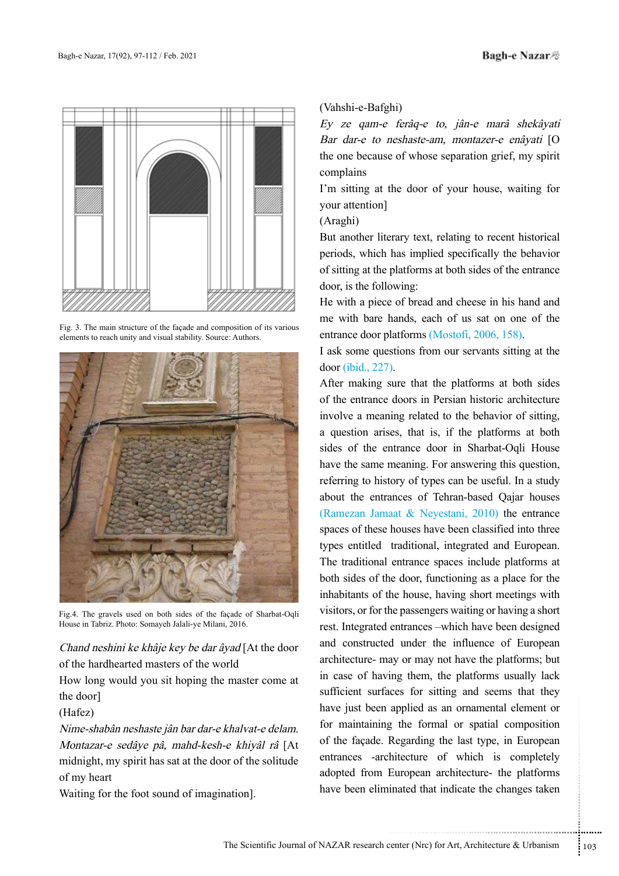

Fig. 3. The main structure of the façade and composition of its various elements to reach unity and visual stability. Source: Authors.



Fig.4. The gravels used on both sides of the façade of Sharbat-Oqli House in Tabriz. Photo: Somayeh Jalali-ye Milani, 2016.

Chand neshini ke khâje key be dar âyad [At the door of the hardhearted masters of the world

How long would you sit hoping the master come at the door]

(Hafez)

Nime-shabân neshaste jân bar dar-e khalvat-e delam. Montazar-e sedâye pâ, mahd-kesh-e khiyâl râ [At midnight, my spirit has sat at the door of the solitude of my heart

Waiting for the foot sound of imagination].

#### (Vahshi-e-Bafghi)

Ey ze qam-e ferâq-e to, jân-e marâ shekâyati Bar dar-e to neshaste-am, montazer-e enâyati [O the one because of whose separation grief, my spirit complains

I'm sitting at the door of your house, waiting for your attention]

### (Araghi)

But another literary text, relating to recent historical periods, which has implied specifically the behavior of sitting at the platforms at both sides of the entrance door, is the following:

He with a piece of bread and cheese in his hand and me with bare hands, each of us sat on one of the entrance door platforms (Mostofi, 2006, 158).

I ask some questions from our servants sitting at the door (ibid., 227).

applied as an ornamental element or<br>
g the formal or spatial composition<br>
Regarding the last type, in European<br>
hitecture of which is completely<br>
European architecture- the platforms<br>
inated that indicate the changes taken After making sure that the platforms at both sides of the entrance doors in Persian historic architecture involve a meaning related to the behavior of sitting, a question arises, that is, if the platforms at both sides of the entrance door in Sharbat-Oqli House have the same meaning. For answering this question, referring to history of types can be useful. In a study about the entrances of Tehran-based Qajar houses (Ramezan Jamaat & Neyestani, 2010) the entrance spaces of these houses have been classified into three types entitled traditional, integrated and European. The traditional entrance spaces include platforms at both sides of the door, functioning as a place for the inhabitants of the house, having short meetings with visitors, or for the passengers waiting or having a short rest. Integrated entrances –which have been designed and constructed under the influence of European architecture- may or may not have the platforms; but in case of having them, the platforms usually lack sufficient surfaces for sitting and seems that they have just been applied as an ornamental element or for maintaining the formal or spatial composition of the façade. Regarding the last type, in European entrances -architecture of which is completely adopted from European architecture- the platforms have been eliminated that indicate the changes taken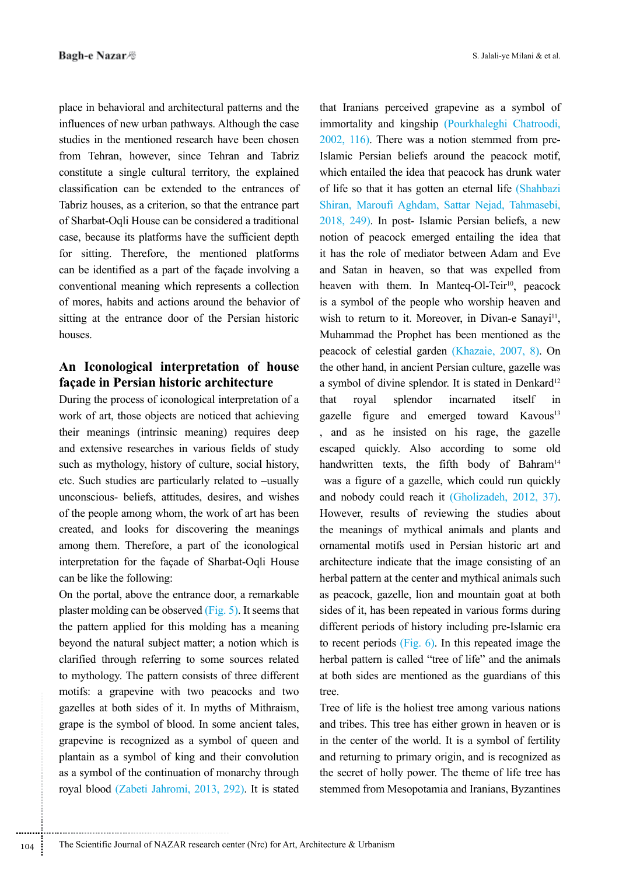place in behavioral and architectural patterns and the influences of new urban pathways. Although the case studies in the mentioned research have been chosen from Tehran, however, since Tehran and Tabriz constitute a single cultural territory, the explained classification can be extended to the entrances of Tabriz houses, as a criterion, so that the entrance part of Sharbat-Oqli House can be considered a traditional case, because its platforms have the sufficient depth for sitting. Therefore, the mentioned platforms can be identified as a part of the façade involving a conventional meaning which represents a collection of mores, habits and actions around the behavior of sitting at the entrance door of the Persian historic houses.

## **An Iconological interpretation of house façade in Persian historic architecture**

During the process of iconological interpretation of a work of art, those objects are noticed that achieving their meanings (intrinsic meaning) requires deep and extensive researches in various fields of study such as mythology, history of culture, social history, etc. Such studies are particularly related to –usually unconscious- beliefs, attitudes, desires, and wishes of the people among whom, the work of art has been created, and looks for discovering the meanings among them. Therefore, a part of the iconological interpretation for the façade of Sharbat-Oqli House can be like the following:

On the portal, above the entrance door, a remarkable plaster molding can be observed (Fig. 5). It seems that the pattern applied for this molding has a meaning beyond the natural subject matter; a notion which is clarified through referring to some sources related to mythology. The pattern consists of three different motifs: a grapevine with two peacocks and two gazelles at both sides of it. In myths of Mithraism, grape is the symbol of blood. In some ancient tales, grapevine is recognized as a symbol of queen and plantain as a symbol of king and their convolution as a symbol of the continuation of monarchy through royal blood (Zabeti Jahromi, 2013, 292). It is stated

..............................................................................

that Iranians perceived grapevine as a symbol of immortality and kingship (Pourkhaleghi Chatroodi, 2002, 116). There was a notion stemmed from pre-Islamic Persian beliefs around the peacock motif, which entailed the idea that peacock has drunk water of life so that it has gotten an eternal life (Shahbazi Shiran, Maroufi Aghdam, Sattar Nejad, Tahmasebi, 2018, 249). In post- Islamic Persian beliefs, a new notion of peacock emerged entailing the idea that it has the role of mediator between Adam and Eve and Satan in heaven, so that was expelled from heaven with them. In Manteq-Ol-Teir<sup>10</sup>, peacock is a symbol of the people who worship heaven and wish to return to it. Moreover, in Divan-e Sanayi<sup>11</sup>, Muhammad the Prophet has been mentioned as the peacock of celestial garden (Khazaie, 2007, 8). On the other hand, in ancient Persian culture, gazelle was a symbol of divine splendor. It is stated in Denkard<sup>12</sup> that royal splendor incarnated itself in gazelle figure and emerged toward Kavous<sup>13</sup> , and as he insisted on his rage, the gazelle escaped quickly. Also according to some old handwritten texts, the fifth body of Bahram<sup>14</sup> was a figure of a gazelle, which could run quickly and nobody could reach it (Gholizadeh, 2012, 37). However, results of reviewing the studies about the meanings of mythical animals and plants and ornamental motifs used in Persian historic art and architecture indicate that the image consisting of an herbal pattern at the center and mythical animals such as peacock, gazelle, lion and mountain goat at both sides of it, has been repeated in various forms during different periods of history including pre-Islamic era to recent periods (Fig. 6). In this repeated image the herbal pattern is called "tree of life" and the animals at both sides are mentioned as the guardians of this tree.

Tree of life is the holiest tree among various nations and tribes. This tree has either grown in heaven or is in the center of the world. It is a symbol of fertility and returning to primary origin, and is recognized as the secret of holly power. The theme of life tree has stemmed from Mesopotamia and Iranians, Byzantines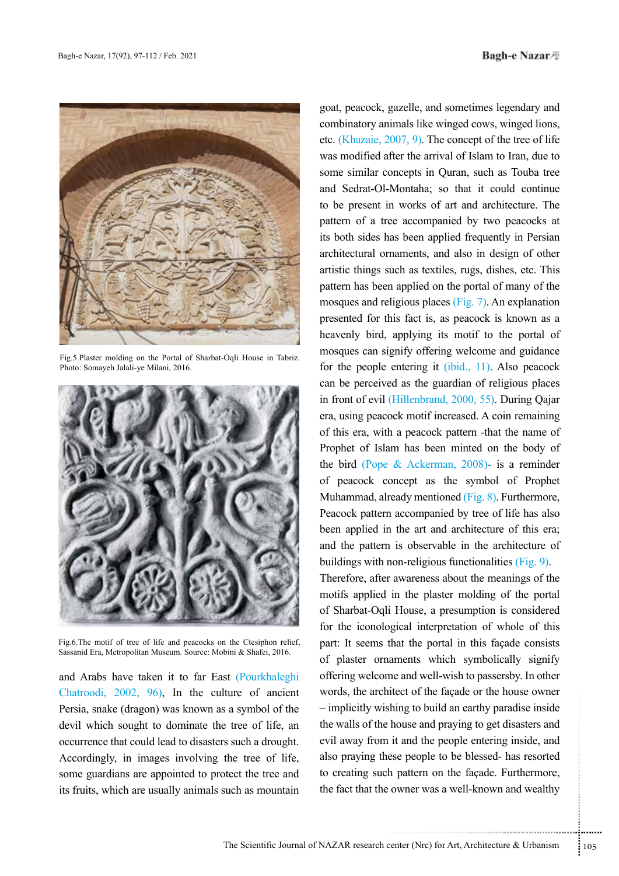

Fig.5.Plaster molding on the Portal of Sharbat-Oqli House in Tabriz. Photo: Somayeh Jalali-ye Milani, 2016.



Fig.6.The motif of tree of life and peacocks on the Ctesiphon relief, Sassanid Era, Metropolitan Museum. Source: Mobini & Shafei, 2016.

and Arabs have taken it to far East (Pourkhaleghi Chatroodi, 2002, 96), In the culture of ancient Persia, snake (dragon) was known as a symbol of the devil which sought to dominate the tree of life, an occurrence that could lead to disasters such a drought. Accordingly, in images involving the tree of life, some guardians are appointed to protect the tree and its fruits, which are usually animals such as mountain

goat, peacock, gazelle, and sometimes legendary and combinatory animals like winged cows, winged lions, etc. (Khazaie, 2007, 9). The concept of the tree of life was modified after the arrival of Islam to Iran, due to some similar concepts in Quran, such as Touba tree and Sedrat-Ol-Montaha; so that it could continue to be present in works of art and architecture. The pattern of a tree accompanied by two peacocks at its both sides has been applied frequently in Persian architectural ornaments, and also in design of other artistic things such as textiles, rugs, dishes, etc. This pattern has been applied on the portal of many of the mosques and religious places (Fig. 7). An explanation presented for this fact is, as peacock is known as a heavenly bird, applying its motif to the portal of mosques can signify offering welcome and guidance for the people entering it (ibid., 11). Also peacock can be perceived as the guardian of religious places in front of evil (Hillenbrand, 2000, 55). During Qajar era, using peacock motif increased. A coin remaining of this era, with a peacock pattern -that the name of Prophet of Islam has been minted on the body of the bird (Pope & Ackerman, 2008)- is a reminder of peacock concept as the symbol of Prophet Muhammad, already mentioned (Fig. 8). Furthermore, Peacock pattern accompanied by tree of life has also been applied in the art and architecture of this era; and the pattern is observable in the architecture of buildings with non-religious functionalities (Fig. 9).

hing to build an earthy paradise inside<br>house and praying to get disasters and<br>it and the people entering inside, and<br>ese people to be blessed- has resorted<br>n pattern on the façade. Furthermore,<br>owner was a well-known and Therefore, after awareness about the meanings of the motifs applied in the plaster molding of the portal of Sharbat-Oqli House, a presumption is considered for the iconological interpretation of whole of this part: It seems that the portal in this façade consists of plaster ornaments which symbolically signify offering welcome and well-wish to passersby. In other words, the architect of the façade or the house owner – implicitly wishing to build an earthy paradise inside the walls of the house and praying to get disasters and evil away from it and the people entering inside, and also praying these people to be blessed- has resorted to creating such pattern on the façade. Furthermore, the fact that the owner was a well-known and wealthy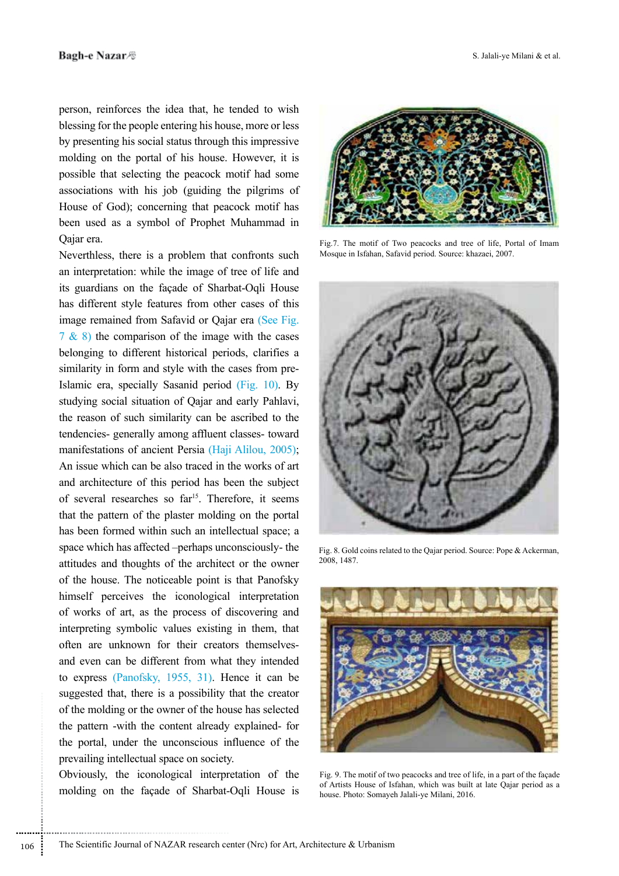person, reinforces the idea that, he tended to wish blessing for the people entering his house, more or less by presenting his social status through this impressive molding on the portal of his house. However, it is possible that selecting the peacock motif had some associations with his job (guiding the pilgrims of House of God); concerning that peacock motif has been used as a symbol of Prophet Muhammad in Qajar era.

Neverthless, there is a problem that confronts such an interpretation: while the image of tree of life and its guardians on the façade of Sharbat-Oqli House has different style features from other cases of this image remained from Safavid or Qajar era (See Fig. 7 & 8) the comparison of the image with the cases belonging to different historical periods, clarifies a similarity in form and style with the cases from pre-Islamic era, specially Sasanid period (Fig. 10). By studying social situation of Qajar and early Pahlavi, the reason of such similarity can be ascribed to the tendencies- generally among affluent classes- toward manifestations of ancient Persia (Haji Alilou, 2005); An issue which can be also traced in the works of art and architecture of this period has been the subject of several researches so far<sup>15</sup>. Therefore, it seems that the pattern of the plaster molding on the portal has been formed within such an intellectual space; a space which has affected –perhaps unconsciously- the attitudes and thoughts of the architect or the owner of the house. The noticeable point is that Panofsky himself perceives the iconological interpretation of works of art, as the process of discovering and interpreting symbolic values existing in them, that often are unknown for their creators themselvesand even can be different from what they intended to express (Panofsky, 1955, 31). Hence it can be suggested that, there is a possibility that the creator of the molding or the owner of the house has selected the pattern -with the content already explained- for the portal, under the unconscious influence of the prevailing intellectual space on society.

Obviously, the iconological interpretation of the molding on the façade of Sharbat-Oqli House is

..............................................................................



Fig.7. The motif of Two peacocks and tree of life, Portal of Imam Mosque in Isfahan, Safavid period. Source: khazaei, 2007.



Fig. 8. Gold coins related to the Qajar period. Source: Pope & Ackerman, 2008, 1487.



Fig. 9. The motif of two peacocks and tree of life, in a part of the façade of Artists House of Isfahan, which was built at late Qajar period as a house. Photo: Somayeh Jalali-ye Milani, 2016.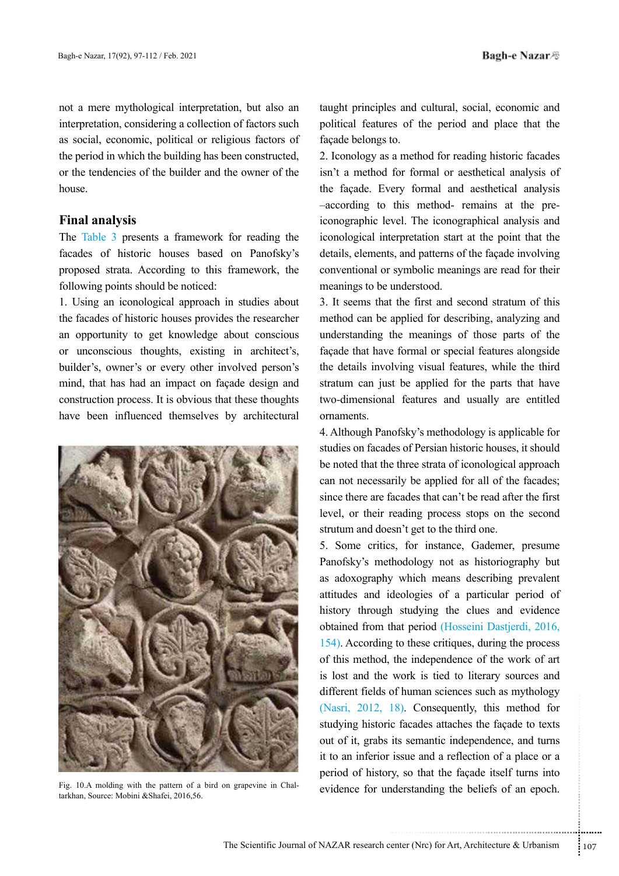not a mere mythological interpretation, but also an interpretation, considering a collection of factors such as social, economic, political or religious factors of the period in which the building has been constructed, or the tendencies of the builder and the owner of the house.

### **Final analysis**

The Table 3 presents a framework for reading the facades of historic houses based on Panofsky's proposed strata. According to this framework, the following points should be noticed:

1. Using an iconological approach in studies about the facades of historic houses provides the researcher an opportunity to get knowledge about conscious or unconscious thoughts, existing in architect's, builder's, owner's or every other involved person's mind, that has had an impact on façade design and construction process. It is obvious that these thoughts have been influenced themselves by architectural



tarkhan, Source: Mobini &Shafei, 2016,56.

taught principles and cultural, social, economic and political features of the period and place that the façade belongs to.

2. Iconology as a method for reading historic facades isn't a method for formal or aesthetical analysis of the façade. Every formal and aesthetical analysis –according to this method- remains at the preiconographic level. The iconographical analysis and iconological interpretation start at the point that the details, elements, and patterns of the façade involving conventional or symbolic meanings are read for their meanings to be understood.

3. It seems that the first and second stratum of this method can be applied for describing, analyzing and understanding the meanings of those parts of the façade that have formal or special features alongside the details involving visual features, while the third stratum can just be applied for the parts that have two-dimensional features and usually are entitled ornaments.

4. Although Panofsky's methodology is applicable for studies on facades of Persian historic houses, it should be noted that the three strata of iconological approach can not necessarily be applied for all of the facades; since there are facades that can't be read after the first level, or their reading process stops on the second strutum and doesn't get to the third one.

18). Consequently, this method for<br>ic facades attaches the façade to texts<br>its semantic independence, and turns<br>issue and a reflection of a place or a<br>ry, so that the façade itself turns into<br>nderstanding the beliefs of an 5. Some critics, for instance, Gademer, presume Panofsky's methodology not as historiography but as adoxography which means describing prevalent attitudes and ideologies of a particular period of history through studying the clues and evidence obtained from that period (Hosseini Dastjerdi, 2016, 154). According to these critiques, during the process of this method, the independence of the work of art is lost and the work is tied to literary sources and different fields of human sciences such as mythology (Nasri, 2012, 18). Consequently, this method for studying historic facades attaches the façade to texts out of it, grabs its semantic independence, and turns it to an inferior issue and a reflection of a place or a period of history, so that the façade itself turns into Fig. 10.A molding with the pattern of a bird on grapevine in Chal-<br>evidence for understanding the beliefs of an epoch.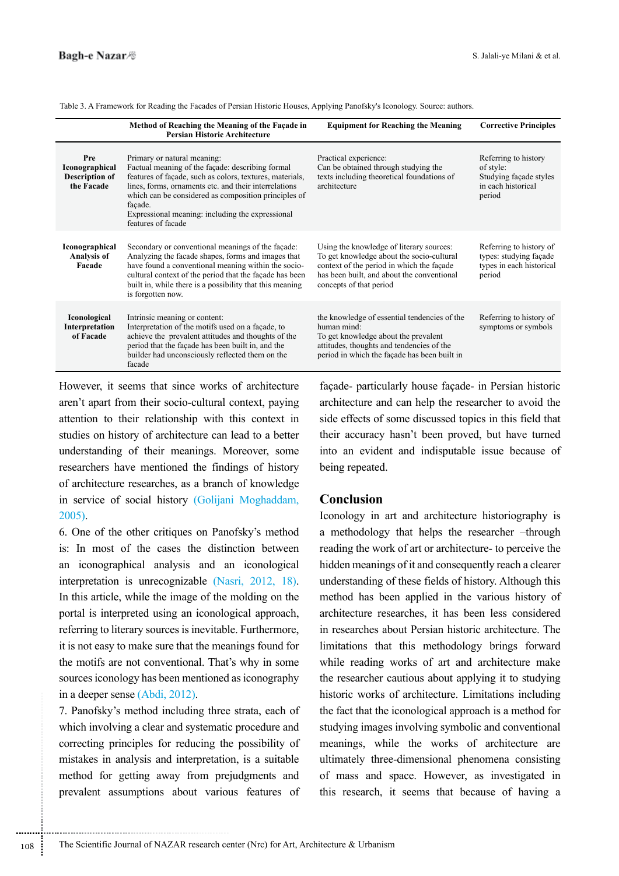|                                                                     | Method of Reaching the Meaning of the Façade in<br><b>Persian Historic Architecture</b>                                                                                                                                                                                                                                                           | <b>Equipment for Reaching the Meaning</b>                                                                                                                                                                   | <b>Corrective Principles</b>                                                                |
|---------------------------------------------------------------------|---------------------------------------------------------------------------------------------------------------------------------------------------------------------------------------------------------------------------------------------------------------------------------------------------------------------------------------------------|-------------------------------------------------------------------------------------------------------------------------------------------------------------------------------------------------------------|---------------------------------------------------------------------------------------------|
| Pre<br><b>Iconographical</b><br><b>Description of</b><br>the Facade | Primary or natural meaning:<br>Factual meaning of the façade: describing formal<br>features of façade, such as colors, textures, materials,<br>lines, forms, ornaments etc. and their interrelations<br>which can be considered as composition principles of<br>façade.<br>Expressional meaning: including the expressional<br>features of facade | Practical experience:<br>Can be obtained through studying the<br>texts including theoretical foundations of<br>architecture                                                                                 | Referring to history<br>of style:<br>Studying façade styles<br>in each historical<br>period |
| <b>Iconographical</b><br><b>Analysis of</b><br>Facade               | Secondary or conventional meanings of the façade:<br>Analyzing the facade shapes, forms and images that<br>have found a conventional meaning within the socio-<br>cultural context of the period that the façade has been<br>built in, while there is a possibility that this meaning<br>is forgotten now.                                        | Using the knowledge of literary sources:<br>To get knowledge about the socio-cultural<br>context of the period in which the façade<br>has been built, and about the conventional<br>concepts of that period | Referring to history of<br>types: studying façade<br>types in each historical<br>period     |
| Iconological<br>Interpretation<br>of Facade                         | Intrinsic meaning or content:<br>Interpretation of the motifs used on a façade, to<br>achieve the prevalent attitudes and thoughts of the<br>period that the façade has been built in, and the<br>builder had unconsciously reflected them on the<br>facade                                                                                       | the knowledge of essential tendencies of the<br>human mind:<br>To get knowledge about the prevalent<br>attitudes, thoughts and tendencies of the<br>period in which the façade has been built in            | Referring to history of<br>symptoms or symbols                                              |

Table 3. A Framework for Reading the Facades of Persian Historic Houses, Applying Panofsky's Iconology. Source: authors.

However, it seems that since works of architecture aren't apart from their socio-cultural context, paying attention to their relationship with this context in studies on history of architecture can lead to a better understanding of their meanings. Moreover, some researchers have mentioned the findings of history of architecture researches, as a branch of knowledge in service of social history (Golijani Moghaddam, 2005).

6. One of the other critiques on Panofsky's method is: In most of the cases the distinction between an iconographical analysis and an iconological interpretation is unrecognizable (Nasri, 2012, 18). In this article, while the image of the molding on the portal is interpreted using an iconological approach, referring to literary sources is inevitable. Furthermore, it is not easy to make sure that the meanings found for the motifs are not conventional. That's why in some sources iconology has been mentioned as iconography in a deeper sense (Abdi, 2012).

7. Panofsky's method including three strata, each of which involving a clear and systematic procedure and correcting principles for reducing the possibility of mistakes in analysis and interpretation, is a suitable method for getting away from prejudgments and prevalent assumptions about various features of façade- particularly house façade- in Persian historic architecture and can help the researcher to avoid the side effects of some discussed topics in this field that their accuracy hasn't been proved, but have turned into an evident and indisputable issue because of being repeated.

#### **Conclusion**

Iconology in art and architecture historiography is a methodology that helps the researcher –through reading the work of art or architecture- to perceive the hidden meanings of it and consequently reach a clearer understanding of these fields of history. Although this method has been applied in the various history of architecture researches, it has been less considered in researches about Persian historic architecture. The limitations that this methodology brings forward while reading works of art and architecture make the researcher cautious about applying it to studying historic works of architecture. Limitations including the fact that the iconological approach is a method for studying images involving symbolic and conventional meanings, while the works of architecture are ultimately three-dimensional phenomena consisting of mass and space. However, as investigated in this research, it seems that because of having a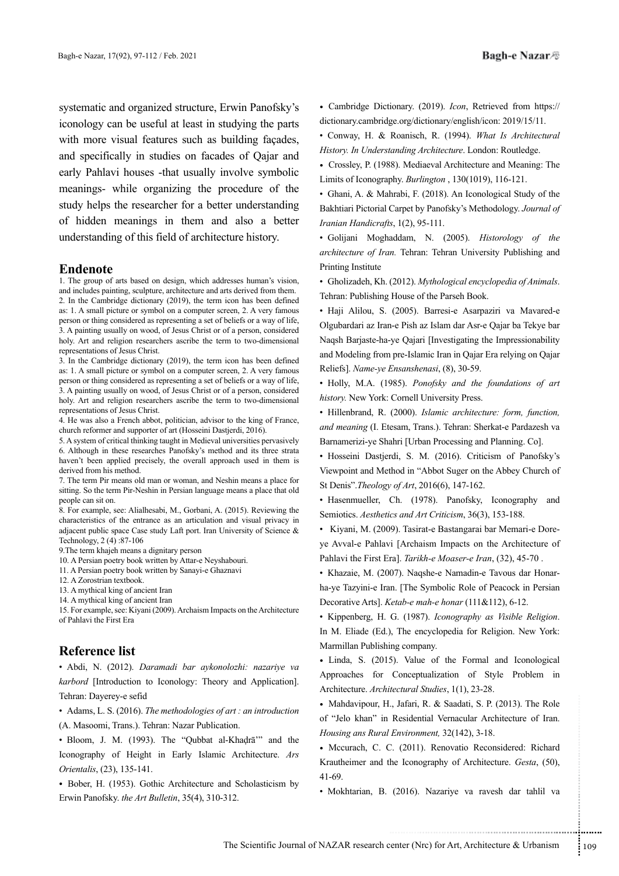systematic and organized structure, Erwin Panofsky's iconology can be useful at least in studying the parts with more visual features such as building façades,

and specifically in studies on facades of Qajar and early Pahlavi houses -that usually involve symbolic meanings- while organizing the procedure of the study helps the researcher for a better understanding of hidden meanings in them and also a better understanding of this field of architecture history.

### **Endenote**

1. The group of arts based on design, which addresses human's vision, and includes painting, sculpture, architecture and arts derived from them. 2. In the Cambridge dictionary (2019), the term icon has been defined as: 1. A small picture or symbol on a computer screen, 2. A very famous person or thing considered as representing a set of beliefs or a way of life, 3. A painting usually on wood, of Jesus Christ or of a person, considered holy. Art and religion researchers ascribe the term to two-dimensional representations of Jesus Christ.

3. In the Cambridge dictionary (2019), the term icon has been defined as: 1. A small picture or symbol on a computer screen, 2. A very famous person or thing considered as representing a set of beliefs or a way of life, 3. A painting usually on wood, of Jesus Christ or of a person, considered holy. Art and religion researchers ascribe the term to two-dimensional representations of Jesus Christ.

4. He was also a French abbot, politician, advisor to the king of France, church reformer and supporter of art (Hosseini Dastjerdi, 2016).

5. A system of critical thinking taught in Medieval universities pervasively 6. Although in these researches Panofsky's method and its three strata haven't been applied precisely, the overall approach used in them is derived from his method.

7. The term Pir means old man or woman, and Neshin means a place for sitting. So the term Pir-Neshin in Persian language means a place that old people can sit on.

8. For example, see: Alialhesabi, M., Gorbani, A. (2015). Reviewing the characteristics of the entrance as an articulation and visual privacy in adjacent public space Case study Laft port. Iran University of Science & Technology, 2 (4) :87-106

9.The term khajeh means a dignitary person

10. A Persian poetry book written by Attar-e Neyshabouri.

11. A Persian poetry book written by Sanayi-e Ghaznavi

12. A Zorostrian textbook.

13. A mythical king of ancient Iran

14. A mythical king of ancient Iran

15. For example, see: Kiyani (2009). Archaism Impacts on the Architecture of Pahlavi the First Era

### **Reference list**

• Abdi, N. (2012). *Daramadi bar aykonolozhi: nazariye va karbord* [Introduction to Iconology: Theory and Application]. Tehran: Dayerey-e sefid

• Adams, L. S. (2016). *The methodologies of art : an introduction*  (A. Masoomi, Trans.). Tehran: Nazar Publication.

• Bloom, J. M. (1993). The "Qubbat al-Khaḍrā'" and the Iconography of Height in Early Islamic Architecture. *Ars Orientalis*, (23), 135-141.

• Bober, H. (1953). Gothic Architecture and Scholasticism by Erwin Panofsky. *the Art Bulletin*, 35(4), 310-312.

• Cambridge Dictionary. (2019). *Icon*, Retrieved from https:// dictionary.cambridge.org/dictionary/english/icon: 2019/15/11.

• Conway, H. & Roanisch, R. (1994). *What Is Architectural History. In Understanding Architecture*. London: Routledge.

• Crossley, P. (1988). Mediaeval Architecture and Meaning: The Limits of Iconography. *Burlington* , 130(1019), 116-121.

• Ghani, A. & Mahrabi, F. (2018). An Iconological Study of the Bakhtiari Pictorial Carpet by Panofsky's Methodology. *Journal of Iranian Handicrafts*, 1(2), 95-111.

• Golijani Moghaddam, N. (2005). *Historology of the architecture of Iran.* Tehran: Tehran University Publishing and Printing Institute

• Gholizadeh, Kh. (2012). *Mythological encyclopedia of Animals*. Tehran: Publishing House of the Parseh Book.

• Haji Alilou, S. (2005). Barresi-e Asarpaziri va Mavared-e Olgubardari az Iran-e Pish az Islam dar Asr-e Qajar ba Tekye bar Naqsh Barjaste-ha-ye Qajari [Investigating the Impressionability and Modeling from pre-Islamic Iran in Qajar Era relying on Qajar Reliefs]. *Name-ye Ensanshenasi*, (8), 30-59.

• Holly, M.A. (1985). *Ponofsky and the foundations of art history.* New York: Cornell University Press.

• Hillenbrand, R. (2000). *Islamic architecture: form, function, and meaning* (I. Etesam, Trans.). Tehran: Sherkat-e Pardazesh va Barnamerizi-ye Shahri [Urban Processing and Planning. Co].

• Hosseini Dastjerdi, S. M. (2016). Criticism of Panofsky's Viewpoint and Method in "Abbot Suger on the Abbey Church of St Denis".*Theology of Art*, 2016(6), 147-162.

• Hasenmueller, Ch. (1978). Panofsky, Iconography and Semiotics. *Aesthetics and Art Criticism*, 36(3), 153-188.

• Kiyani, M. (2009). Tasirat-e Bastangarai bar Memari-e Doreye Avval-e Pahlavi [Archaism Impacts on the Architecture of Pahlavi the First Era]. *Tarikh-e Moaser-e Iran*, (32), 45-70 .

• Khazaie, M. (2007). Naqshe-e Namadin-e Tavous dar Honarha-ye Tazyini-e Iran. [The Symbolic Role of Peacock in Persian Decorative Arts]. *Ketab-e mah-e honar* (111&112), 6-12.

• Kippenberg, H. G. (1987). *Iconography as Visible Religion*. In M. Eliade (Ed.), The encyclopedia for Religion. New York: Marmillan Publishing company.

• Linda, S. (2015). Value of the Formal and Iconological Approaches for Conceptualization of Style Problem in Architecture. *Architectural Studies*, 1(1), 23-28.

• Mahdavipour, H., Jafari, R. & Saadati, S. P. (2013). The Role of "Jelo khan" in Residential Vernacular Architecture of Iran. *Housing ans Rural Environment,* 32(142), 3-18.

........... .......... ........ ....... ...... ........... ........ ....... ..................................................................... • Mccurach, C. C. (2011). Renovatio Reconsidered: Richard Krautheimer and the Iconography of Architecture. *Gesta*, (50), 41-69.

• Mokhtarian, B. (2016). Nazariye va ravesh dar tahlil va